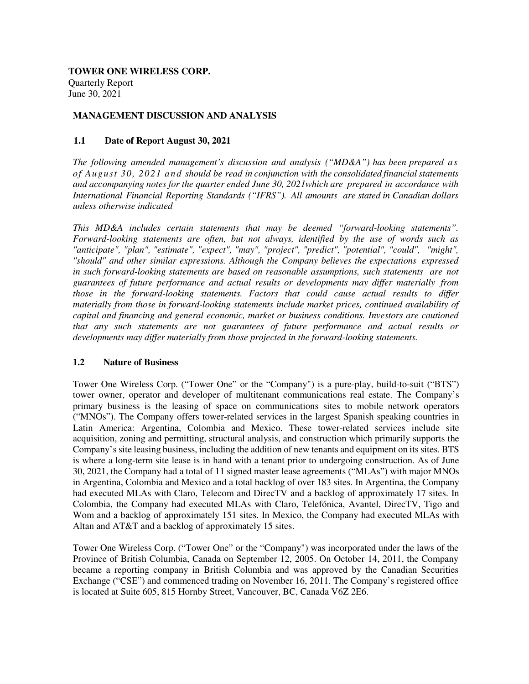**TOWER ONE WIRELESS CORP.**  Quarterly Report June 30, 2021

# **MANAGEMENT DISCUSSION AND ANALYSIS**

## **1.1 Date of Report August 30, 2021**

*The following amended management's discussion and analysis ("MD&A") has been prepared as of August 30, 2021 and should be read in conjunction with the consolidated financial statements and accompanying notes for the quarter ended June 30, 2021which are prepared in accordance with International Financial Reporting Standards ("IFRS"). All amounts are stated in Canadian dollars unless otherwise indicated*

*This MD&A includes certain statements that may be deemed "forward-looking statements". Forward-looking statements are often, but not always, identified by the use of words such as "anticipate", "plan", "estimate", "expect", "may", "project", "predict", "potential", "could", "might", "should" and other similar expressions. Although the Company believes the expectations expressed in such forward-looking statements are based on reasonable assumptions, such statements are not guarantees of future performance and actual results or developments may differ materially from those in the forward-looking statements. Factors that could cause actual results to differ materially from those in forward-looking statements include market prices, continued availability of capital and financing and general economic, market or business conditions. Investors are cautioned that any such statements are not guarantees of future performance and actual results or developments may differ materially from those projected in the forward-looking statements.* 

#### **1.2 Nature of Business**

Tower One Wireless Corp. ("Tower One" or the "Company") is a pure-play, build-to-suit ("BTS") tower owner, operator and developer of multitenant communications real estate. The Company's primary business is the leasing of space on communications sites to mobile network operators ("MNOs"). The Company offers tower-related services in the largest Spanish speaking countries in Latin America: Argentina, Colombia and Mexico. These tower-related services include site acquisition, zoning and permitting, structural analysis, and construction which primarily supports the Company's site leasing business, including the addition of new tenants and equipment on its sites. BTS is where a long-term site lease is in hand with a tenant prior to undergoing construction. As of June 30, 2021, the Company had a total of 11 signed master lease agreements ("MLAs") with major MNOs in Argentina, Colombia and Mexico and a total backlog of over 183 sites. In Argentina, the Company had executed MLAs with Claro, Telecom and DirecTV and a backlog of approximately 17 sites. In Colombia, the Company had executed MLAs with Claro, Telefónica, Avantel, DirecTV, Tigo and Wom and a backlog of approximately 151 sites. In Mexico, the Company had executed MLAs with Altan and AT&T and a backlog of approximately 15 sites.

Tower One Wireless Corp. ("Tower One" or the "Company") was incorporated under the laws of the Province of British Columbia, Canada on September 12, 2005. On October 14, 2011, the Company became a reporting company in British Columbia and was approved by the Canadian Securities Exchange ("CSE") and commenced trading on November 16, 2011. The Company's registered office is located at Suite 605, 815 Hornby Street, Vancouver, BC, Canada V6Z 2E6.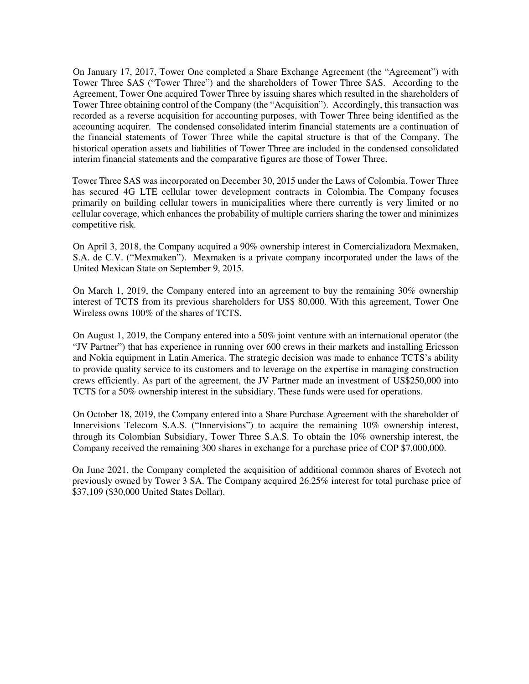On January 17, 2017, Tower One completed a Share Exchange Agreement (the "Agreement") with Tower Three SAS ("Tower Three") and the shareholders of Tower Three SAS. According to the Agreement, Tower One acquired Tower Three by issuing shares which resulted in the shareholders of Tower Three obtaining control of the Company (the "Acquisition"). Accordingly, this transaction was recorded as a reverse acquisition for accounting purposes, with Tower Three being identified as the accounting acquirer. The condensed consolidated interim financial statements are a continuation of the financial statements of Tower Three while the capital structure is that of the Company. The historical operation assets and liabilities of Tower Three are included in the condensed consolidated interim financial statements and the comparative figures are those of Tower Three.

Tower Three SAS was incorporated on December 30, 2015 under the Laws of Colombia. Tower Three has secured 4G LTE cellular tower development contracts in Colombia. The Company focuses primarily on building cellular towers in municipalities where there currently is very limited or no cellular coverage, which enhances the probability of multiple carriers sharing the tower and minimizes competitive risk.

On April 3, 2018, the Company acquired a 90% ownership interest in Comercializadora Mexmaken, S.A. de C.V. ("Mexmaken"). Mexmaken is a private company incorporated under the laws of the United Mexican State on September 9, 2015.

On March 1, 2019, the Company entered into an agreement to buy the remaining 30% ownership interest of TCTS from its previous shareholders for US\$ 80,000. With this agreement, Tower One Wireless owns 100% of the shares of TCTS.

On August 1, 2019, the Company entered into a 50% joint venture with an international operator (the "JV Partner") that has experience in running over 600 crews in their markets and installing Ericsson and Nokia equipment in Latin America. The strategic decision was made to enhance TCTS's ability to provide quality service to its customers and to leverage on the expertise in managing construction crews efficiently. As part of the agreement, the JV Partner made an investment of US\$250,000 into TCTS for a 50% ownership interest in the subsidiary. These funds were used for operations.

On October 18, 2019, the Company entered into a Share Purchase Agreement with the shareholder of Innervisions Telecom S.A.S. ("Innervisions") to acquire the remaining 10% ownership interest, through its Colombian Subsidiary, Tower Three S.A.S. To obtain the 10% ownership interest, the Company received the remaining 300 shares in exchange for a purchase price of COP \$7,000,000.

On June 2021, the Company completed the acquisition of additional common shares of Evotech not previously owned by Tower 3 SA. The Company acquired 26.25% interest for total purchase price of \$37,109 (\$30,000 United States Dollar).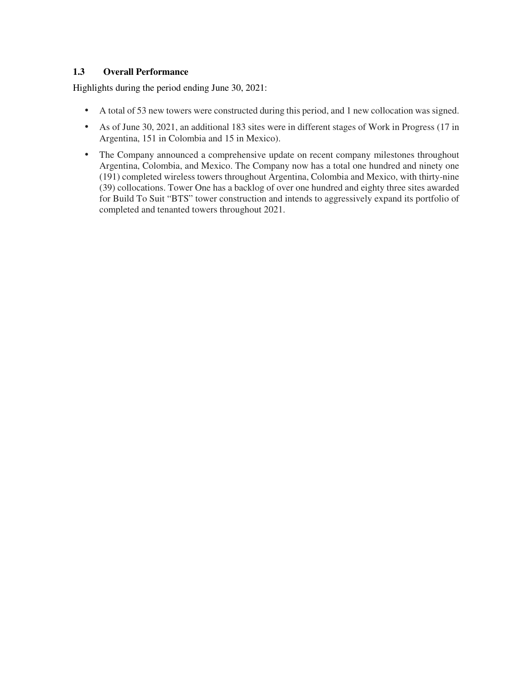# **1.3 Overall Performance**

Highlights during the period ending June 30, 2021:

- A total of 53 new towers were constructed during this period, and 1 new collocation was signed.
- As of June 30, 2021, an additional 183 sites were in different stages of Work in Progress (17 in Argentina, 151 in Colombia and 15 in Mexico).
- The Company announced a comprehensive update on recent company milestones throughout Argentina, Colombia, and Mexico. The Company now has a total one hundred and ninety one (191) completed wireless towers throughout Argentina, Colombia and Mexico, with thirty-nine (39) collocations. Tower One has a backlog of over one hundred and eighty three sites awarded for Build To Suit "BTS" tower construction and intends to aggressively expand its portfolio of completed and tenanted towers throughout 2021.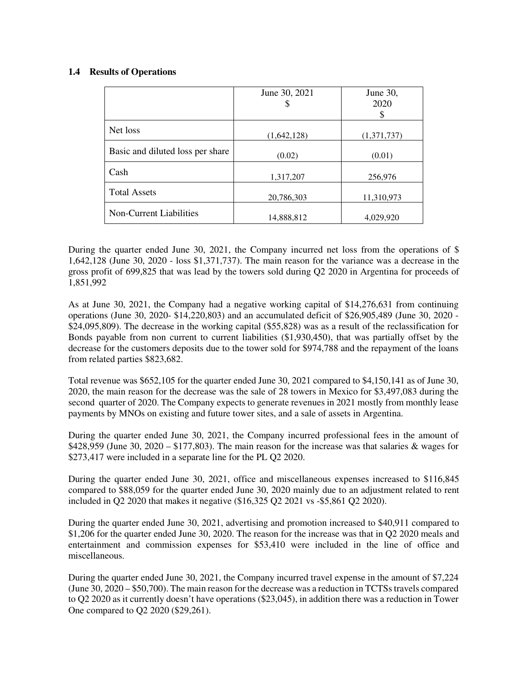# **1.4 Results of Operations**

|                                  | June 30, 2021<br>S | June 30,<br>2020 |
|----------------------------------|--------------------|------------------|
|                                  |                    | \$               |
| Net loss                         | (1,642,128)        | (1,371,737)      |
| Basic and diluted loss per share | (0.02)             | (0.01)           |
| Cash                             | 1,317,207          | 256,976          |
| <b>Total Assets</b>              | 20,786,303         | 11,310,973       |
| Non-Current Liabilities          | 14,888,812         | 4,029,920        |

During the quarter ended June 30, 2021, the Company incurred net loss from the operations of \$ 1,642,128 (June 30, 2020 - loss \$1,371,737). The main reason for the variance was a decrease in the gross profit of 699,825 that was lead by the towers sold during Q2 2020 in Argentina for proceeds of 1,851,992

As at June 30, 2021, the Company had a negative working capital of \$14,276,631 from continuing operations (June 30, 2020- \$14,220,803) and an accumulated deficit of \$26,905,489 (June 30, 2020 - \$24,095,809). The decrease in the working capital (\$55,828) was as a result of the reclassification for Bonds payable from non current to current liabilities (\$1,930,450), that was partially offset by the decrease for the customers deposits due to the tower sold for \$974,788 and the repayment of the loans from related parties \$823,682.

Total revenue was \$652,105 for the quarter ended June 30, 2021 compared to \$4,150,141 as of June 30, 2020, the main reason for the decrease was the sale of 28 towers in Mexico for \$3,497,083 during the second quarter of 2020. The Company expects to generate revenues in 2021 mostly from monthly lease payments by MNOs on existing and future tower sites, and a sale of assets in Argentina.

During the quarter ended June 30, 2021, the Company incurred professional fees in the amount of \$428,959 (June 30, 2020 – \$177,803). The main reason for the increase was that salaries  $\&$  wages for \$273,417 were included in a separate line for the PL Q2 2020.

During the quarter ended June 30, 2021, office and miscellaneous expenses increased to \$116,845 compared to \$88,059 for the quarter ended June 30, 2020 mainly due to an adjustment related to rent included in Q2 2020 that makes it negative (\$16,325 Q2 2021 vs -\$5,861 Q2 2020).

During the quarter ended June 30, 2021, advertising and promotion increased to \$40,911 compared to \$1,206 for the quarter ended June 30, 2020. The reason for the increase was that in Q2 2020 meals and entertainment and commission expenses for \$53,410 were included in the line of office and miscellaneous.

During the quarter ended June 30, 2021, the Company incurred travel expense in the amount of \$7,224 (June 30, 2020 – \$50,700). The main reason for the decrease was a reduction in TCTSs travels compared to Q2 2020 as it currently doesn't have operations (\$23,045), in addition there was a reduction in Tower One compared to Q2 2020 (\$29,261).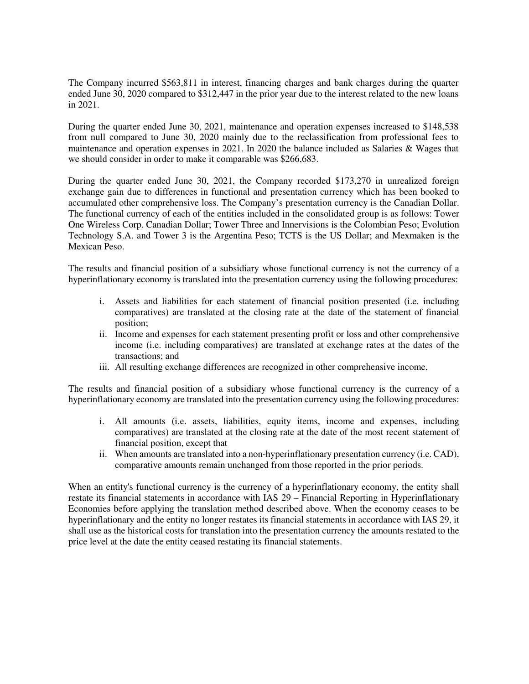The Company incurred \$563,811 in interest, financing charges and bank charges during the quarter ended June 30, 2020 compared to \$312,447 in the prior year due to the interest related to the new loans in 2021.

During the quarter ended June 30, 2021, maintenance and operation expenses increased to \$148,538 from null compared to June 30, 2020 mainly due to the reclassification from professional fees to maintenance and operation expenses in 2021. In 2020 the balance included as Salaries & Wages that we should consider in order to make it comparable was \$266,683.

During the quarter ended June 30, 2021, the Company recorded \$173,270 in unrealized foreign exchange gain due to differences in functional and presentation currency which has been booked to accumulated other comprehensive loss. The Company's presentation currency is the Canadian Dollar. The functional currency of each of the entities included in the consolidated group is as follows: Tower One Wireless Corp. Canadian Dollar; Tower Three and Innervisions is the Colombian Peso; Evolution Technology S.A. and Tower 3 is the Argentina Peso; TCTS is the US Dollar; and Mexmaken is the Mexican Peso.

The results and financial position of a subsidiary whose functional currency is not the currency of a hyperinflationary economy is translated into the presentation currency using the following procedures:

- i. Assets and liabilities for each statement of financial position presented (i.e. including comparatives) are translated at the closing rate at the date of the statement of financial position;
- ii. Income and expenses for each statement presenting profit or loss and other comprehensive income (i.e. including comparatives) are translated at exchange rates at the dates of the transactions; and
- iii. All resulting exchange differences are recognized in other comprehensive income.

The results and financial position of a subsidiary whose functional currency is the currency of a hyperinflationary economy are translated into the presentation currency using the following procedures:

- i. All amounts (i.e. assets, liabilities, equity items, income and expenses, including comparatives) are translated at the closing rate at the date of the most recent statement of financial position, except that
- ii. When amounts are translated into a non-hyperinflationary presentation currency (i.e. CAD), comparative amounts remain unchanged from those reported in the prior periods.

When an entity's functional currency is the currency of a hyperinflationary economy, the entity shall restate its financial statements in accordance with IAS 29 – Financial Reporting in Hyperinflationary Economies before applying the translation method described above. When the economy ceases to be hyperinflationary and the entity no longer restates its financial statements in accordance with IAS 29, it shall use as the historical costs for translation into the presentation currency the amounts restated to the price level at the date the entity ceased restating its financial statements.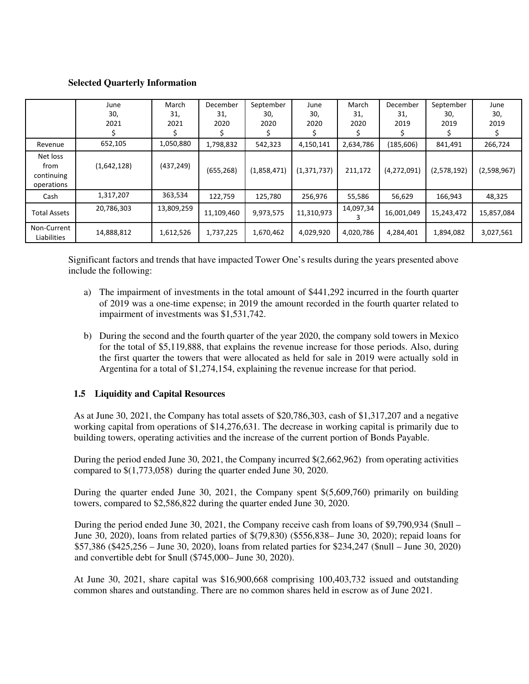## **Selected Quarterly Information**

|                                              | June<br>30,<br>2021 | March<br>31,<br>2021 | December<br>31,<br>2020 | September<br>30,<br>2020 | June<br>30,<br>2020 | March<br>31,<br>2020 | December<br>31,<br>2019 | September<br>30,<br>2019 | June<br>30,<br>2019 |
|----------------------------------------------|---------------------|----------------------|-------------------------|--------------------------|---------------------|----------------------|-------------------------|--------------------------|---------------------|
| Revenue                                      | 652,105             | 1,050,880            | 1,798,832               | 542,323                  | 4,150,141           | 2,634,786            | (185, 606)              | 841,491                  | 266,724             |
| Net loss<br>from<br>continuing<br>operations | (1,642,128)         | (437,249)            | (655, 268)              | (1,858,471)              | (1, 371, 737)       | 211,172              | (4,272,091)             | (2,578,192)              | (2,598,967)         |
| Cash                                         | 1,317,207           | 363,534              | 122,759                 | 125,780                  | 256,976             | 55,586               | 56,629                  | 166,943                  | 48,325              |
| <b>Total Assets</b>                          | 20,786,303          | 13,809,259           | 11,109,460              | 9,973,575                | 11,310,973          | 14,097,34            | 16,001,049              | 15,243,472               | 15,857,084          |
| Non-Current<br>Liabilities                   | 14,888,812          | 1,612,526            | 1,737,225               | 1,670,462                | 4,029,920           | 4,020,786            | 4,284,401               | 1,894,082                | 3,027,561           |

Significant factors and trends that have impacted Tower One's results during the years presented above include the following:

- a) The impairment of investments in the total amount of \$441,292 incurred in the fourth quarter of 2019 was a one-time expense; in 2019 the amount recorded in the fourth quarter related to impairment of investments was \$1,531,742.
- b) During the second and the fourth quarter of the year 2020, the company sold towers in Mexico for the total of \$5,119,888, that explains the revenue increase for those periods. Also, during the first quarter the towers that were allocated as held for sale in 2019 were actually sold in Argentina for a total of \$1,274,154, explaining the revenue increase for that period.

# **1.5 Liquidity and Capital Resources**

As at June 30, 2021, the Company has total assets of \$20,786,303, cash of \$1,317,207 and a negative working capital from operations of \$14,276,631. The decrease in working capital is primarily due to building towers, operating activities and the increase of the current portion of Bonds Payable.

During the period ended June 30, 2021, the Company incurred \$(2,662,962) from operating activities compared to \$(1,773,058) during the quarter ended June 30, 2020.

During the quarter ended June 30, 2021, the Company spent \$(5,609,760) primarily on building towers, compared to \$2,586,822 during the quarter ended June 30, 2020.

During the period ended June 30, 2021, the Company receive cash from loans of \$9,790,934 (\$null – June 30, 2020), loans from related parties of \$(79,830) (\$556,838– June 30, 2020); repaid loans for \$57,386 (\$425,256 – June 30, 2020), loans from related parties for \$234,247 (\$null – June 30, 2020) and convertible debt for \$null (\$745,000– June 30, 2020).

At June 30, 2021, share capital was \$16,900,668 comprising 100,403,732 issued and outstanding common shares and outstanding. There are no common shares held in escrow as of June 2021.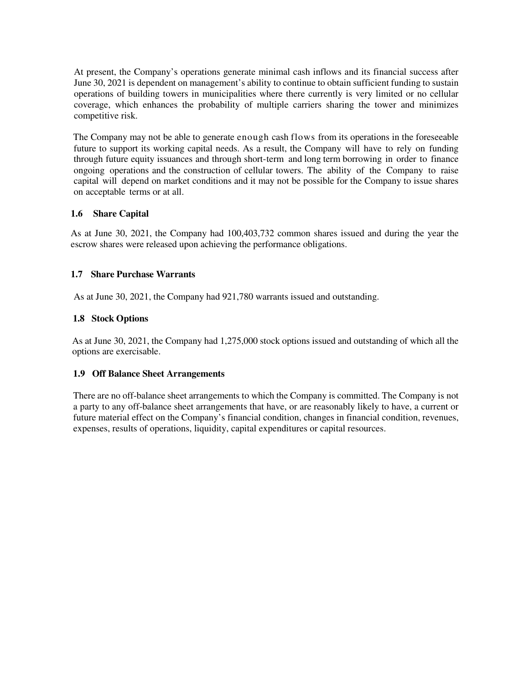At present, the Company's operations generate minimal cash inflows and its financial success after June 30, 2021 is dependent on management's ability to continue to obtain sufficient funding to sustain operations of building towers in municipalities where there currently is very limited or no cellular coverage, which enhances the probability of multiple carriers sharing the tower and minimizes competitive risk.

The Company may not be able to generate enough cash flows from its operations in the foreseeable future to support its working capital needs. As a result, the Company will have to rely on funding through future equity issuances and through short-term and long term borrowing in order to finance ongoing operations and the construction of cellular towers. The ability of the Company to raise capital will depend on market conditions and it may not be possible for the Company to issue shares on acceptable terms or at all.

# **1.6 Share Capital**

As at June 30, 2021, the Company had 100,403,732 common shares issued and during the year the escrow shares were released upon achieving the performance obligations.

# **1.7 Share Purchase Warrants**

As at June 30, 2021, the Company had 921,780 warrants issued and outstanding.

# **1.8 Stock Options**

As at June 30, 2021, the Company had 1,275,000 stock options issued and outstanding of which all the options are exercisable.

# **1.9 Off Balance Sheet Arrangements**

There are no off-balance sheet arrangements to which the Company is committed. The Company is not a party to any off-balance sheet arrangements that have, or are reasonably likely to have, a current or future material effect on the Company's financial condition, changes in financial condition, revenues, expenses, results of operations, liquidity, capital expenditures or capital resources.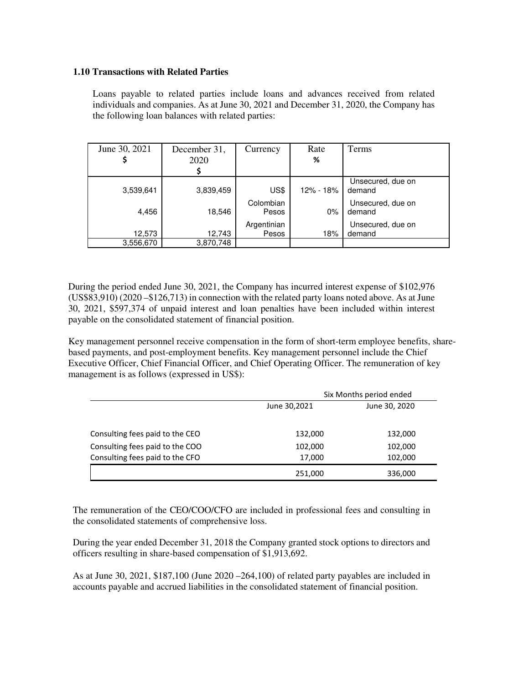## **1.10 Transactions with Related Parties**

Loans payable to related parties include loans and advances received from related individuals and companies. As at June 30, 2021 and December 31, 2020, the Company has the following loan balances with related parties:

| June 30, 2021 | December 31,<br>2020 | Currency             | Rate<br>%     | Terms                       |
|---------------|----------------------|----------------------|---------------|-----------------------------|
|               |                      |                      |               |                             |
| 3,539,641     | 3,839,459            | US\$                 | $12\% - 18\%$ | Unsecured, due on<br>demand |
| 4,456         | 18,546               | Colombian<br>Pesos   | 0%            | Unsecured, due on<br>demand |
| 12,573        | 12,743               | Argentinian<br>Pesos | 18%           | Unsecured, due on<br>demand |
| 3,556,670     | 3,870,748            |                      |               |                             |

During the period ended June 30, 2021, the Company has incurred interest expense of \$102,976 (US\$83,910) (2020 –\$126,713) in connection with the related party loans noted above. As at June 30, 2021, \$597,374 of unpaid interest and loan penalties have been included within interest payable on the consolidated statement of financial position.

Key management personnel receive compensation in the form of short-term employee benefits, sharebased payments, and post-employment benefits. Key management personnel include the Chief Executive Officer, Chief Financial Officer, and Chief Operating Officer. The remuneration of key management is as follows (expressed in US\$):

|                                 | Six Months period ended |               |  |  |
|---------------------------------|-------------------------|---------------|--|--|
|                                 | June 30,2021            | June 30, 2020 |  |  |
|                                 |                         |               |  |  |
| Consulting fees paid to the CEO | 132,000                 | 132,000       |  |  |
| Consulting fees paid to the COO | 102,000                 | 102,000       |  |  |
| Consulting fees paid to the CFO | 17,000                  | 102,000       |  |  |
|                                 | 251,000                 | 336,000       |  |  |

The remuneration of the CEO/COO/CFO are included in professional fees and consulting in the consolidated statements of comprehensive loss.

During the year ended December 31, 2018 the Company granted stock options to directors and officers resulting in share-based compensation of \$1,913,692.

As at June 30, 2021,  $$187,100$  (June 2020 –264,100) of related party payables are included in accounts payable and accrued liabilities in the consolidated statement of financial position.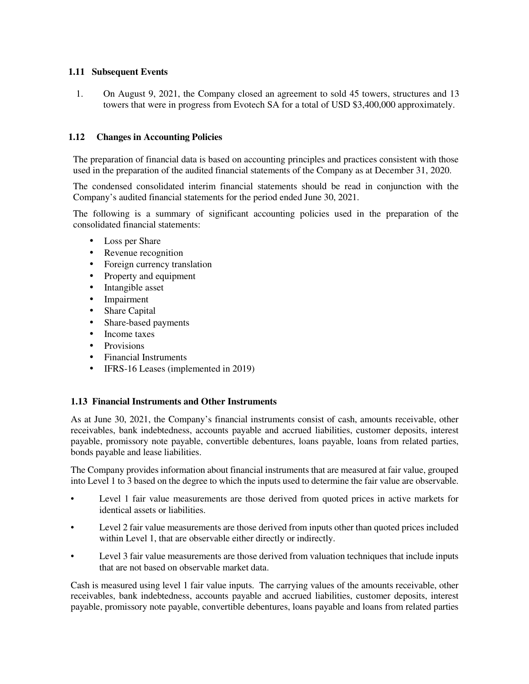# **1.11 Subsequent Events**

1. On August 9, 2021, the Company closed an agreement to sold 45 towers, structures and 13 towers that were in progress from Evotech SA for a total of USD \$3,400,000 approximately.

# **1.12 Changes in Accounting Policies**

The preparation of financial data is based on accounting principles and practices consistent with those used in the preparation of the audited financial statements of the Company as at December 31, 2020.

The condensed consolidated interim financial statements should be read in conjunction with the Company's audited financial statements for the period ended June 30, 2021.

The following is a summary of significant accounting policies used in the preparation of the consolidated financial statements:

- Loss per Share
- Revenue recognition
- Foreign currency translation
- Property and equipment
- Intangible asset
- **Impairment**
- Share Capital
- Share-based payments
- Income taxes
- Provisions
- Financial Instruments
- IFRS-16 Leases (implemented in 2019)

# **1.13 Financial Instruments and Other Instruments**

As at June 30, 2021, the Company's financial instruments consist of cash, amounts receivable, other receivables, bank indebtedness, accounts payable and accrued liabilities, customer deposits, interest payable, promissory note payable, convertible debentures, loans payable, loans from related parties, bonds payable and lease liabilities.

The Company provides information about financial instruments that are measured at fair value, grouped into Level 1 to 3 based on the degree to which the inputs used to determine the fair value are observable.

- Level 1 fair value measurements are those derived from quoted prices in active markets for identical assets or liabilities.
- Level 2 fair value measurements are those derived from inputs other than quoted prices included within Level 1, that are observable either directly or indirectly.
- Level 3 fair value measurements are those derived from valuation techniques that include inputs that are not based on observable market data.

Cash is measured using level 1 fair value inputs. The carrying values of the amounts receivable, other receivables, bank indebtedness, accounts payable and accrued liabilities, customer deposits, interest payable, promissory note payable, convertible debentures, loans payable and loans from related parties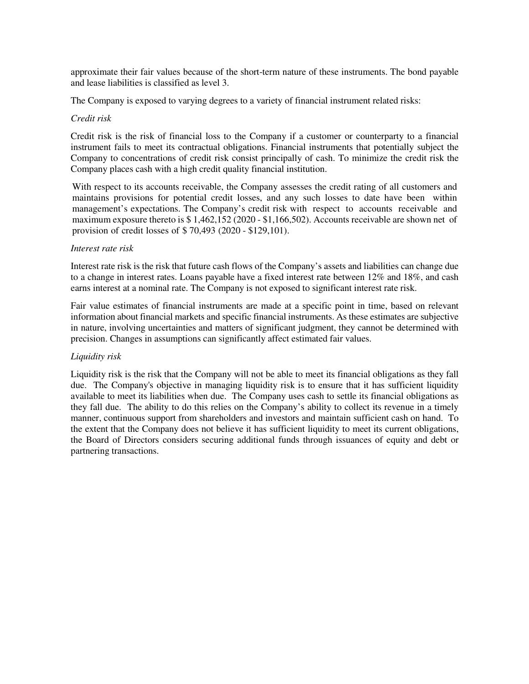approximate their fair values because of the short-term nature of these instruments. The bond payable and lease liabilities is classified as level 3.

The Company is exposed to varying degrees to a variety of financial instrument related risks:

#### *Credit risk*

Credit risk is the risk of financial loss to the Company if a customer or counterparty to a financial instrument fails to meet its contractual obligations. Financial instruments that potentially subject the Company to concentrations of credit risk consist principally of cash. To minimize the credit risk the Company places cash with a high credit quality financial institution.

With respect to its accounts receivable, the Company assesses the credit rating of all customers and maintains provisions for potential credit losses, and any such losses to date have been within management's expectations. The Company's credit risk with respect to accounts receivable and maximum exposure thereto is \$ 1,462,152 (2020 - \$1,166,502). Accounts receivable are shown net of provision of credit losses of \$ 70,493 (2020 - \$129,101).

## *Interest rate risk*

Interest rate risk is the risk that future cash flows of the Company's assets and liabilities can change due to a change in interest rates. Loans payable have a fixed interest rate between 12% and 18%, and cash earns interest at a nominal rate. The Company is not exposed to significant interest rate risk.

Fair value estimates of financial instruments are made at a specific point in time, based on relevant information about financial markets and specific financial instruments. As these estimates are subjective in nature, involving uncertainties and matters of significant judgment, they cannot be determined with precision. Changes in assumptions can significantly affect estimated fair values.

# *Liquidity risk*

Liquidity risk is the risk that the Company will not be able to meet its financial obligations as they fall due. The Company's objective in managing liquidity risk is to ensure that it has sufficient liquidity available to meet its liabilities when due. The Company uses cash to settle its financial obligations as they fall due. The ability to do this relies on the Company's ability to collect its revenue in a timely manner, continuous support from shareholders and investors and maintain sufficient cash on hand. To the extent that the Company does not believe it has sufficient liquidity to meet its current obligations, the Board of Directors considers securing additional funds through issuances of equity and debt or partnering transactions.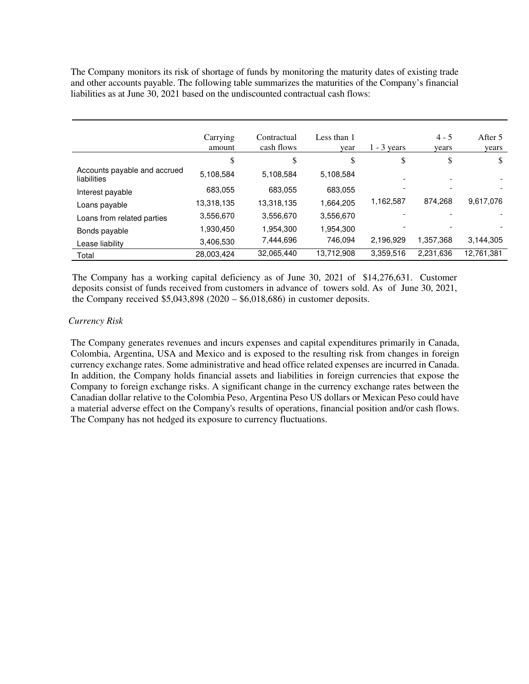The Company monitors its risk of shortage of funds by monitoring the maturity dates of existing trade and other accounts payable. The following table summarizes the maturities of the Company's financial liabilities as at June 30, 2021 based on the undiscounted contractual cash flows:

|                                             | Carrying<br>amount | Contractual<br>cash flows | Less than 1<br>year | $1 - 3$ years | $4 - 5$<br>vears | After 5<br>years |
|---------------------------------------------|--------------------|---------------------------|---------------------|---------------|------------------|------------------|
|                                             | \$                 | \$                        | \$                  | \$            | \$               | \$               |
| Accounts payable and accrued<br>liabilities | 5,108,584          | 5,108,584                 | 5,108,584           |               |                  |                  |
| Interest payable                            | 683,055            | 683,055                   | 683,055             |               |                  |                  |
| Loans payable                               | 13,318,135         | 13,318,135                | 1,664,205           | 1,162,587     | 874.268          | 9,617,076        |
| Loans from related parties                  | 3,556,670          | 3,556,670                 | 3,556,670           |               |                  |                  |
| Bonds payable                               | 1,930,450          | 1,954,300                 | 1.954.300           |               |                  |                  |
| Lease liability                             | 3,406,530          | 7,444,696                 | 746,094             | 2,196,929     | 1.357.368        | 3,144,305        |
| Total                                       | 28,003,424         | 32,065,440                | 13,712,908          | 3,359,516     | 2,231,636        | 12.761.381       |

The Company has a working capital deficiency as of June 30, 2021 of \$14,276,631. Customer deposits consist of funds received from customers in advance of towers sold. As of June 30, 2021, the Company received \$5,043,898 (2020 – \$6,018,686) in customer deposits.

## *Currency Risk*

The Company generates revenues and incurs expenses and capital expenditures primarily in Canada, Colombia, Argentina, USA and Mexico and is exposed to the resulting risk from changes in foreign currency exchange rates. Some administrative and head office related expenses are incurred in Canada. In addition, the Company holds financial assets and liabilities in foreign currencies that expose the Company to foreign exchange risks. A significant change in the currency exchange rates between the Canadian dollar relative to the Colombia Peso, Argentina Peso US dollars or Mexican Peso could have a material adverse effect on the Company's results of operations, financial position and/or cash flows. The Company has not hedged its exposure to currency fluctuations.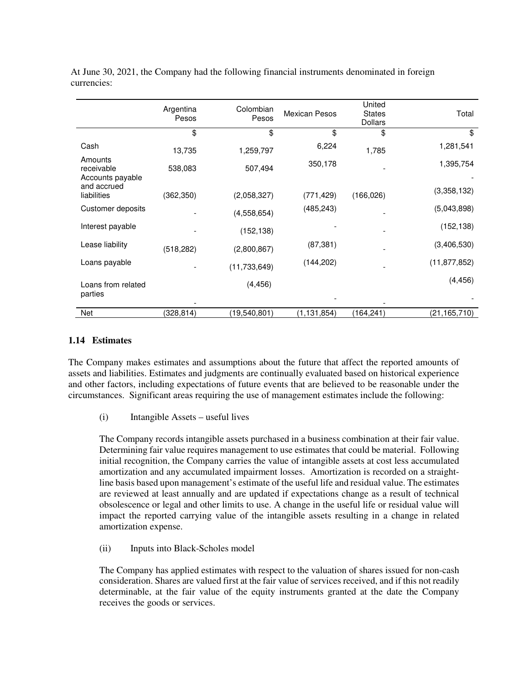|                                           | Argentina<br>Pesos | Colombian<br>Pesos | <b>Mexican Pesos</b> | United<br><b>States</b><br><b>Dollars</b> | Total          |
|-------------------------------------------|--------------------|--------------------|----------------------|-------------------------------------------|----------------|
|                                           | \$                 | \$                 | \$                   | \$                                        | \$             |
| Cash                                      | 13,735             | 1,259,797          | 6,224                | 1,785                                     | 1,281,541      |
| Amounts<br>receivable<br>Accounts payable | 538,083            | 507,494            | 350,178              |                                           | 1,395,754      |
| and accrued<br>liabilities                | (362, 350)         | (2,058,327)        | (771, 429)           | (166, 026)                                | (3,358,132)    |
| Customer deposits                         |                    | (4,558,654)        | (485, 243)           |                                           | (5,043,898)    |
| Interest payable                          |                    | (152, 138)         |                      |                                           | (152, 138)     |
| Lease liability                           | (518, 282)         | (2,800,867)        | (87, 381)            |                                           | (3,406,530)    |
| Loans payable                             |                    | (11, 733, 649)     | (144, 202)           |                                           | (11, 877, 852) |
| Loans from related<br>parties             |                    | (4, 456)           |                      |                                           | (4, 456)       |
| Net                                       | (328.814)          | (19,540,801)       | (1, 131, 854)        | (164,241)                                 | (21, 165, 710) |

At June 30, 2021, the Company had the following financial instruments denominated in foreign currencies:

## **1.14 Estimates**

The Company makes estimates and assumptions about the future that affect the reported amounts of assets and liabilities. Estimates and judgments are continually evaluated based on historical experience and other factors, including expectations of future events that are believed to be reasonable under the circumstances. Significant areas requiring the use of management estimates include the following:

(i) Intangible Assets – useful lives

The Company records intangible assets purchased in a business combination at their fair value. Determining fair value requires management to use estimates that could be material. Following initial recognition, the Company carries the value of intangible assets at cost less accumulated amortization and any accumulated impairment losses. Amortization is recorded on a straightline basis based upon management's estimate of the useful life and residual value. The estimates are reviewed at least annually and are updated if expectations change as a result of technical obsolescence or legal and other limits to use. A change in the useful life or residual value will impact the reported carrying value of the intangible assets resulting in a change in related amortization expense.

(ii) Inputs into Black-Scholes model

The Company has applied estimates with respect to the valuation of shares issued for non-cash consideration. Shares are valued first at the fair value of services received, and if this not readily determinable, at the fair value of the equity instruments granted at the date the Company receives the goods or services.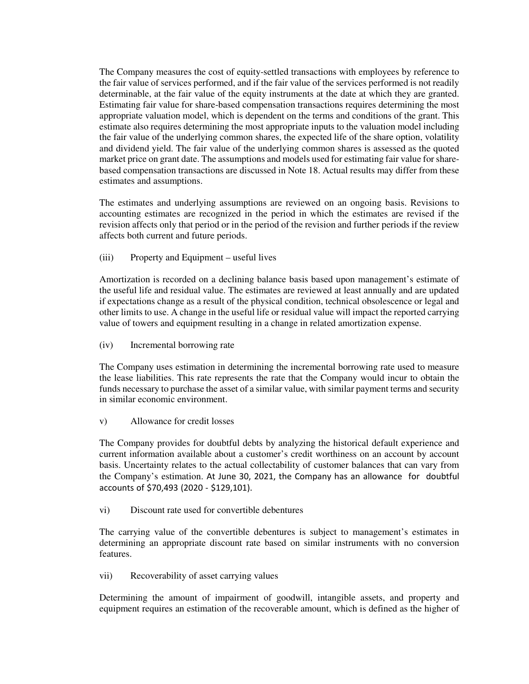The Company measures the cost of equity-settled transactions with employees by reference to the fair value of services performed, and if the fair value of the services performed is not readily determinable, at the fair value of the equity instruments at the date at which they are granted. Estimating fair value for share-based compensation transactions requires determining the most appropriate valuation model, which is dependent on the terms and conditions of the grant. This estimate also requires determining the most appropriate inputs to the valuation model including the fair value of the underlying common shares, the expected life of the share option, volatility and dividend yield. The fair value of the underlying common shares is assessed as the quoted market price on grant date. The assumptions and models used for estimating fair value for sharebased compensation transactions are discussed in Note 18. Actual results may differ from these estimates and assumptions.

The estimates and underlying assumptions are reviewed on an ongoing basis. Revisions to accounting estimates are recognized in the period in which the estimates are revised if the revision affects only that period or in the period of the revision and further periods if the review affects both current and future periods.

(iii) Property and Equipment – useful lives

Amortization is recorded on a declining balance basis based upon management's estimate of the useful life and residual value. The estimates are reviewed at least annually and are updated if expectations change as a result of the physical condition, technical obsolescence or legal and other limits to use. A change in the useful life or residual value will impact the reported carrying value of towers and equipment resulting in a change in related amortization expense.

(iv) Incremental borrowing rate

The Company uses estimation in determining the incremental borrowing rate used to measure the lease liabilities. This rate represents the rate that the Company would incur to obtain the funds necessary to purchase the asset of a similar value, with similar payment terms and security in similar economic environment.

v) Allowance for credit losses

The Company provides for doubtful debts by analyzing the historical default experience and current information available about a customer's credit worthiness on an account by account basis. Uncertainty relates to the actual collectability of customer balances that can vary from the Company's estimation. At June 30, 2021, the Company has an allowance for doubtful accounts of \$70,493 (2020 - \$129,101).

vi) Discount rate used for convertible debentures

The carrying value of the convertible debentures is subject to management's estimates in determining an appropriate discount rate based on similar instruments with no conversion features.

vii) Recoverability of asset carrying values

Determining the amount of impairment of goodwill, intangible assets, and property and equipment requires an estimation of the recoverable amount, which is defined as the higher of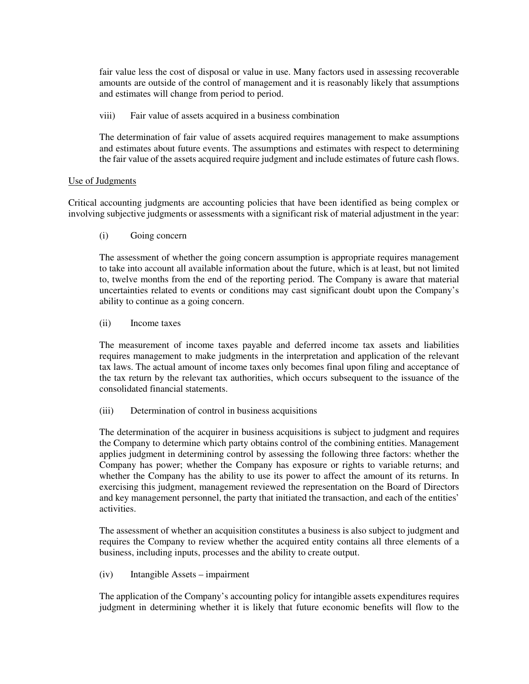fair value less the cost of disposal or value in use. Many factors used in assessing recoverable amounts are outside of the control of management and it is reasonably likely that assumptions and estimates will change from period to period.

viii) Fair value of assets acquired in a business combination

The determination of fair value of assets acquired requires management to make assumptions and estimates about future events. The assumptions and estimates with respect to determining the fair value of the assets acquired require judgment and include estimates of future cash flows.

## Use of Judgments

Critical accounting judgments are accounting policies that have been identified as being complex or involving subjective judgments or assessments with a significant risk of material adjustment in the year:

(i) Going concern

The assessment of whether the going concern assumption is appropriate requires management to take into account all available information about the future, which is at least, but not limited to, twelve months from the end of the reporting period. The Company is aware that material uncertainties related to events or conditions may cast significant doubt upon the Company's ability to continue as a going concern.

(ii) Income taxes

The measurement of income taxes payable and deferred income tax assets and liabilities requires management to make judgments in the interpretation and application of the relevant tax laws. The actual amount of income taxes only becomes final upon filing and acceptance of the tax return by the relevant tax authorities, which occurs subsequent to the issuance of the consolidated financial statements.

(iii) Determination of control in business acquisitions

The determination of the acquirer in business acquisitions is subject to judgment and requires the Company to determine which party obtains control of the combining entities. Management applies judgment in determining control by assessing the following three factors: whether the Company has power; whether the Company has exposure or rights to variable returns; and whether the Company has the ability to use its power to affect the amount of its returns. In exercising this judgment, management reviewed the representation on the Board of Directors and key management personnel, the party that initiated the transaction, and each of the entities' activities.

The assessment of whether an acquisition constitutes a business is also subject to judgment and requires the Company to review whether the acquired entity contains all three elements of a business, including inputs, processes and the ability to create output.

(iv) Intangible Assets – impairment

The application of the Company's accounting policy for intangible assets expenditures requires judgment in determining whether it is likely that future economic benefits will flow to the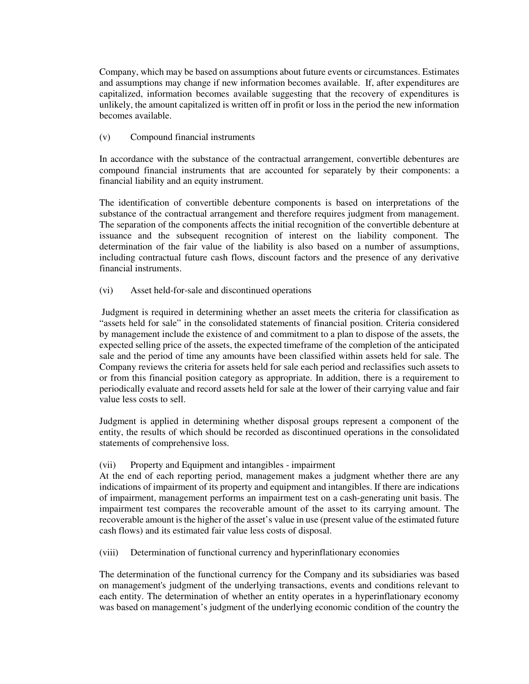Company, which may be based on assumptions about future events or circumstances. Estimates and assumptions may change if new information becomes available. If, after expenditures are capitalized, information becomes available suggesting that the recovery of expenditures is unlikely, the amount capitalized is written off in profit or loss in the period the new information becomes available.

# (v) Compound financial instruments

In accordance with the substance of the contractual arrangement, convertible debentures are compound financial instruments that are accounted for separately by their components: a financial liability and an equity instrument.

The identification of convertible debenture components is based on interpretations of the substance of the contractual arrangement and therefore requires judgment from management. The separation of the components affects the initial recognition of the convertible debenture at issuance and the subsequent recognition of interest on the liability component. The determination of the fair value of the liability is also based on a number of assumptions, including contractual future cash flows, discount factors and the presence of any derivative financial instruments.

# (vi) Asset held-for-sale and discontinued operations

 Judgment is required in determining whether an asset meets the criteria for classification as "assets held for sale" in the consolidated statements of financial position. Criteria considered by management include the existence of and commitment to a plan to dispose of the assets, the expected selling price of the assets, the expected timeframe of the completion of the anticipated sale and the period of time any amounts have been classified within assets held for sale. The Company reviews the criteria for assets held for sale each period and reclassifies such assets to or from this financial position category as appropriate. In addition, there is a requirement to periodically evaluate and record assets held for sale at the lower of their carrying value and fair value less costs to sell.

Judgment is applied in determining whether disposal groups represent a component of the entity, the results of which should be recorded as discontinued operations in the consolidated statements of comprehensive loss.

## (vii) Property and Equipment and intangibles - impairment

At the end of each reporting period, management makes a judgment whether there are any indications of impairment of its property and equipment and intangibles. If there are indications of impairment, management performs an impairment test on a cash-generating unit basis. The impairment test compares the recoverable amount of the asset to its carrying amount. The recoverable amount is the higher of the asset's value in use (present value of the estimated future cash flows) and its estimated fair value less costs of disposal.

(viii) Determination of functional currency and hyperinflationary economies

The determination of the functional currency for the Company and its subsidiaries was based on management's judgment of the underlying transactions, events and conditions relevant to each entity. The determination of whether an entity operates in a hyperinflationary economy was based on management's judgment of the underlying economic condition of the country the